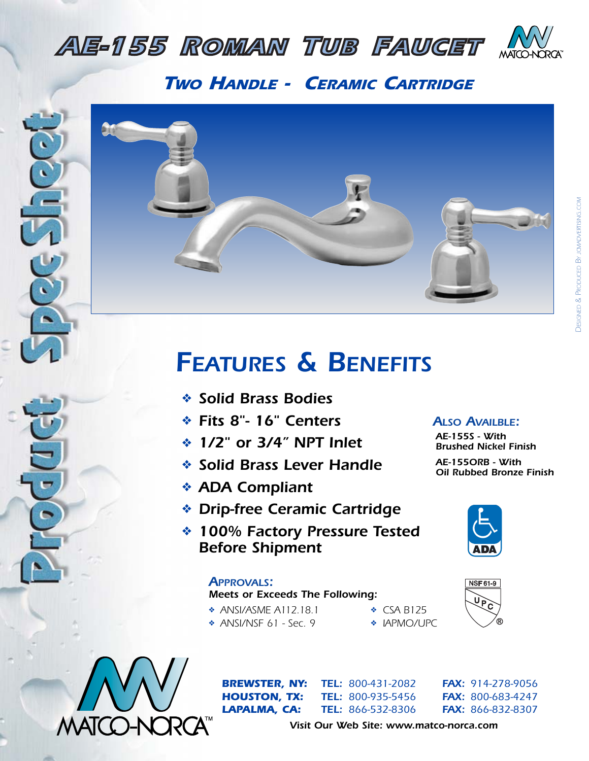

*AE-865 LAVATORY FAUCET*

*AE-225 <i>TWO HANDLE - CERAMIC CARTRIDGE* 



## *AE-255 KITCHEN FAUCET FEATURES & BENEFITS*

- *AE-175 <b>P<sub>2</sub> <i>C C<sub>2</sub> <i>C C<sub>2</sub> <i>C<sub>2</sub>* **<b>***C<sub>2</sub> <i>C<sub>2</sub>**C***<sub>2</sub> <b>***C<sub>2</sub> C<sub>2</sub> c<sub>2</sub> c<sub>2</sub> c<sub>2</sub> c<sub>2</sub> c<sub>2</sub> c<sub>2</sub> c<sub>2</sub> c<sub>2</sub> c<sub>2</sub> c<sub>2</sub> c<sub>2</sub> c<sub>2</sub> c<sub>2</sub> c<sub>2</sub> c<sub>2</sub> c<sub>2</sub> c<sub>2</sub> c<sub>2</sub> c* 
	- ❖ *Fits 8"- 16" Centers*
- **AE-155S**<br> **Example 172" or 3/4" NPT Inlet** AE-155S Brushed
	- ❖ *Solid Brass Lever Handle*
- *★* ADA Compliant
	- ❖ *Drip-free Ceramic Cartridge*
- *▲***<br>★ 100% Factory Pressure Tested** *Before Shipment*

## *AE-935 KITCHEN FAUCET APPROVALS:*

## *Meets or Exceeds The Following:*

- ◆ **ANSI/ASME A112.18.1** ◆ **CSA B125** 
	- ❖ *ANSI/NSF 61 Sec. 9* ❖ *IAPMO/UPC*
- 



*ALSO AVAILBLE: AE-155S - With Brushed Nickel Finish AE-155ORB - With*

*Oil Rubbed Bronze Finish*





*BREWSTER, NY: TEL: 800-431-2082 FAX: 914-278-9056 LAPALMA, CA: TEL: 866-532-8306 FAX: 866-832-8307*

*Visit Our Web Site: www.matco-norca.com*